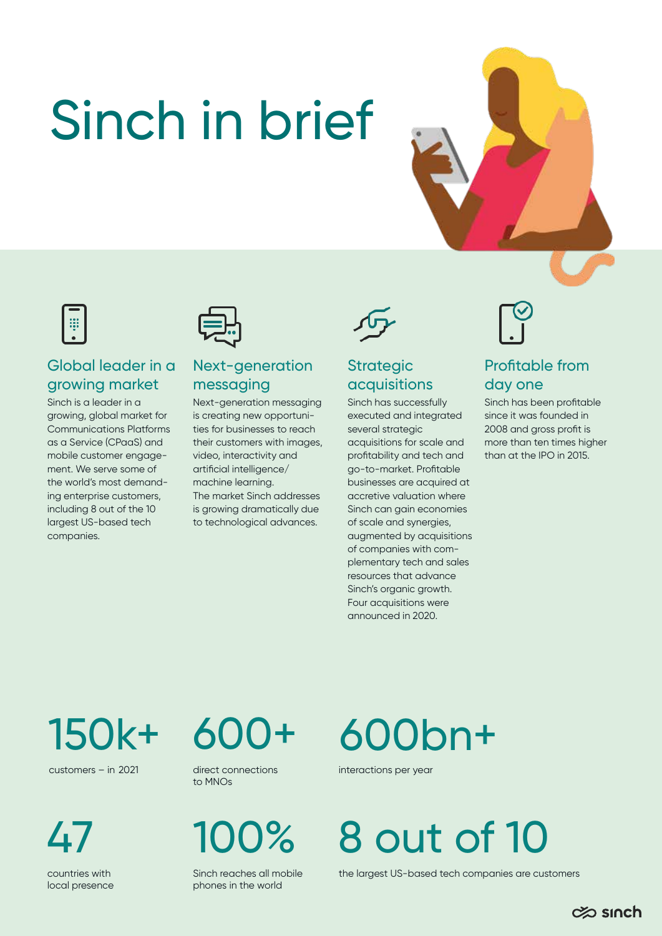# Sinch in brief







#### Global leader in a growing market

Sinch is a leader in a growing, global market for Communications Platforms as a Service (CPaaS) and mobile customer engagement. We serve some of the world's most demanding enterprise customers, including 8 out of the 10 largest US-based tech companies.

#### Next-generation messaging

Next-generation messaging is creating new opportunities for businesses to reach their customers with images, video, interactivity and artificial intelligence/ machine learning. The market Sinch addresses is growing dramatically due to technological advances.

#### **Strategic** acquisitions

Sinch has successfully executed and integrated several strategic acquisitions for scale and profitability and tech and go-to-market. Profitable businesses are acquired at accretive valuation where Sinch can gain economies of scale and synergies, augmented by acquisitions of companies with complementary tech and sales resources that advance Sinch's organic growth. Four acquisitions were announced in 2020.



#### Profitable from day one

Sinch has been profitable since it was founded in 2008 and gross profit is more than ten times higher than at the IPO in 2015.

150k+

customers – in 2021 direct connections

47

countries with local presence



to MNOs

Sinch reaches all mobile phones in the world

# 600bn+

interactions per year

100% 8 out of 10

the largest US-based tech companies are customers

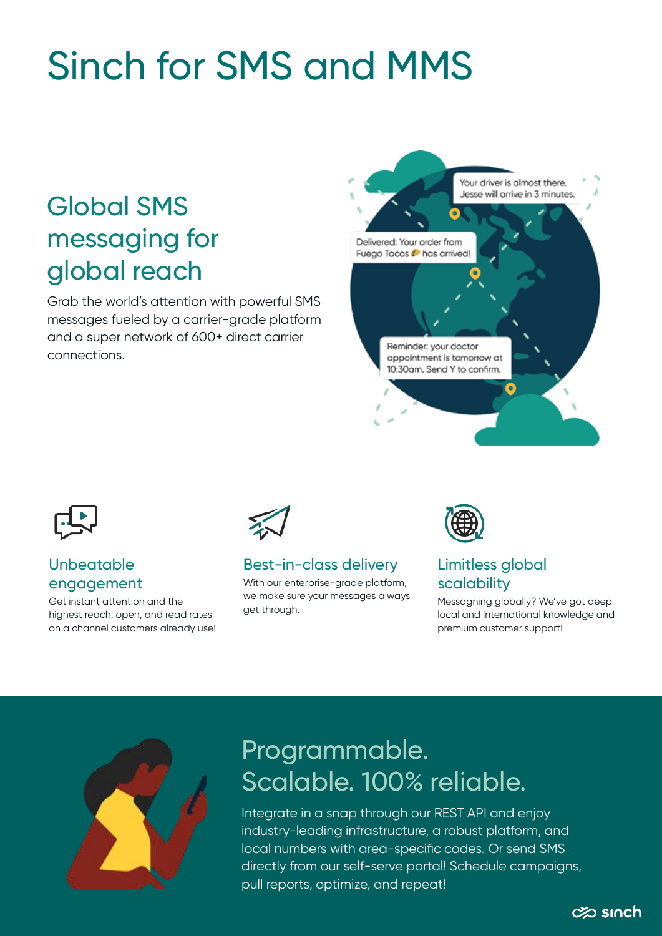## Sinch for SMS and MMS

## Global SMS messaging for global reach

Grab the world's attention with powerful SMS messages fueled by a carrier-grade platform and a super network of 600+ direct carrier connections.



![](_page_1_Picture_4.jpeg)

#### **Unbeatable** engagement

Get instant attention and the highest reach, open, and read rates on a channel customers already use!

![](_page_1_Picture_7.jpeg)

#### Best-in-class delivery

With our enterprise-grade platform, we make sure your messages always get through.

![](_page_1_Picture_10.jpeg)

#### Limitless global scalability

Messagning globally? We've got deep local and international knowledge and premium customer support!

![](_page_1_Picture_13.jpeg)

### Programmable. Scalable. 100% reliable.

Integrate in a snap through our REST API and enjoy industry-leading infrastructure, a robust platform, and local numbers with area-specific codes. Or send SMS directly from our self-serve portal! Schedule campaigns, pull reports, optimize, and repeat!

![](_page_1_Picture_16.jpeg)